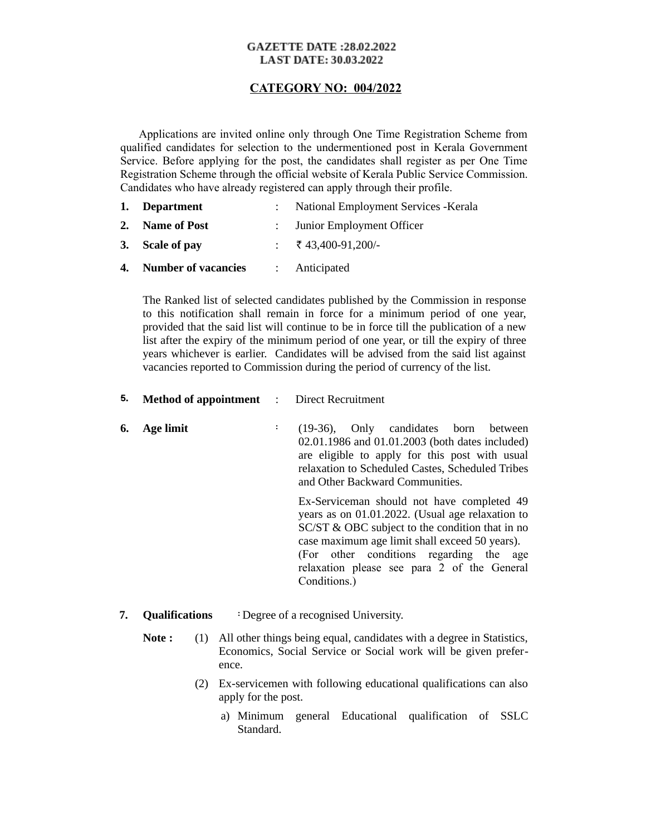## **GAZETTE DATE :28.02.2022 LAST DATE: 30.03.2022**

## **CATEGORY NO: 004/2022**

 Applications are invited online only through One Time Registration Scheme from qualified candidates for selection to the undermentioned post in Kerala Government Service. Before applying for the post, the candidates shall register as per One Time Registration Scheme through the official website of Kerala Public Service Commission. Candidates who have already registered can apply through their profile.

| 1. Department                               | : National Employment Services - Kerala |
|---------------------------------------------|-----------------------------------------|
| 2. Name of Post                             | : Junior Employment Officer             |
| 3. Scale of pay                             | : ₹43,400-91,200/-                      |
| <b>4. Number of vacancies : Anticipated</b> |                                         |

The Ranked list of selected candidates published by the Commission in response to this notification shall remain in force for a minimum period of one year, provided that the said list will continue to be in force till the publication of a new list after the expiry of the minimum period of one year, or till the expiry of three years whichever is earlier. Candidates will be advised from the said list against vacancies reported to Commission during the period of currency of the list.

5. **Method of appointment** : Direct Recruitment

**6. Age limit** : (19-36), Only candidates born between 02.01.1986 and 01.01.2003 (both dates included) are eligible to apply for this post with usual relaxation to Scheduled Castes, Scheduled Tribes and Other Backward Communities.

Ex-Serviceman should not have completed 49 years as on 01.01.2022. (Usual age relaxation to SC/ST & OBC subject to the condition that in no case maximum age limit shall exceed 50 years).

(For other conditions regarding the age relaxation please see para 2 of the General Conditions.)

- **7. Qualifications** : Degree of a recognised University.
	- **Note :** (1) All other things being equal, candidates with a degree in Statistics, Economics, Social Service or Social work will be given preference.
		- (2) Ex-servicemen with following educational qualifications can also apply for the post.
			- a) Minimum general Educational qualification of SSLC Standard.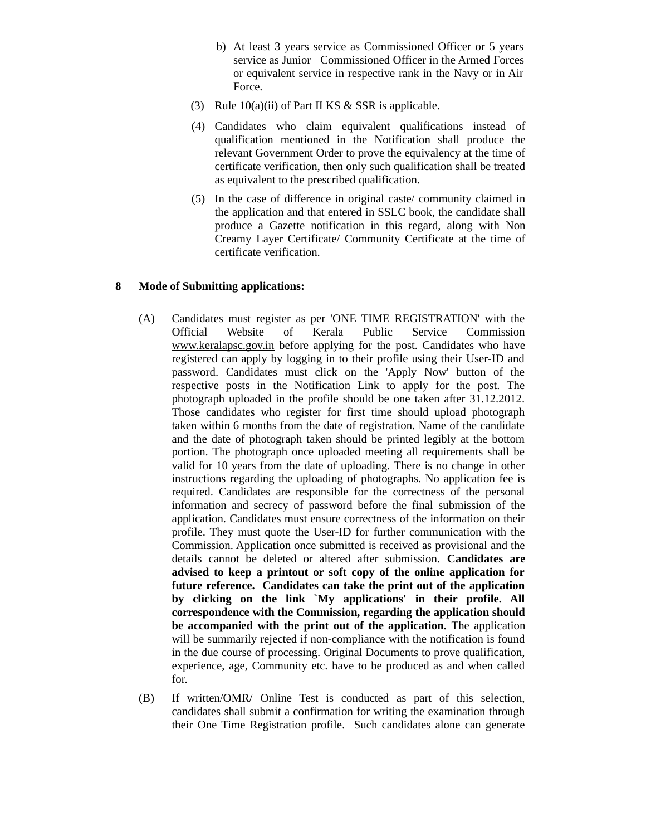- b) At least 3 years service as Commissioned Officer or 5 years service as Junior Commissioned Officer in the Armed Forces or equivalent service in respective rank in the Navy or in Air Force.
- (3) Rule 10(a)(ii) of Part II KS & SSR is applicable.
- (4) Candidates who claim equivalent qualifications instead of qualification mentioned in the Notification shall produce the relevant Government Order to prove the equivalency at the time of certificate verification, then only such qualification shall be treated as equivalent to the prescribed qualification.
- (5) In the case of difference in original caste/ community claimed in the application and that entered in SSLC book, the candidate shall produce a Gazette notification in this regard, along with Non Creamy Layer Certificate/ Community Certificate at the time of certificate verification.

## **8 Mode of Submitting applications:**

- (A) Candidates must register as per 'ONE TIME REGISTRATION' with the Official Website of Kerala Public Service Commission [www.keralapsc.gov.in](http://www.kerealapsc.gov.in/) before applying for the post. Candidates who have registered can apply by logging in to their profile using their User-ID and password. Candidates must click on the 'Apply Now' button of the respective posts in the Notification Link to apply for the post. The photograph uploaded in the profile should be one taken after 31.12.2012. Those candidates who register for first time should upload photograph taken within 6 months from the date of registration. Name of the candidate and the date of photograph taken should be printed legibly at the bottom portion. The photograph once uploaded meeting all requirements shall be valid for 10 years from the date of uploading. There is no change in other instructions regarding the uploading of photographs. No application fee is required. Candidates are responsible for the correctness of the personal information and secrecy of password before the final submission of the application. Candidates must ensure correctness of the information on their profile. They must quote the User-ID for further communication with the Commission. Application once submitted is received as provisional and the details cannot be deleted or altered after submission. **Candidates are advised to keep a printout or soft copy of the online application for future reference. Candidates can take the print out of the application by clicking on the link `My applications' in their profile. All correspondence with the Commission, regarding the application should be accompanied with the print out of the application.** The application will be summarily rejected if non-compliance with the notification is found in the due course of processing. Original Documents to prove qualification, experience, age, Community etc. have to be produced as and when called for.
- (B) If written/OMR/ Online Test is conducted as part of this selection, candidates shall submit a confirmation for writing the examination through their One Time Registration profile. Such candidates alone can generate